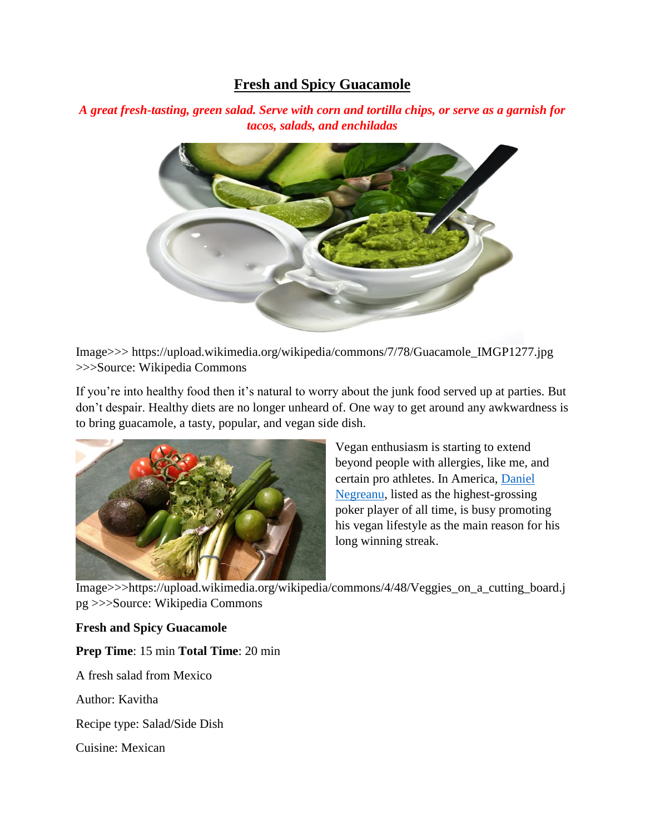# **Fresh and Spicy Guacamole**

*A great fresh-tasting, green salad. Serve with corn and tortilla chips, or serve as a garnish for tacos, salads, and enchiladas* 



Image>>> https://upload.wikimedia.org/wikipedia/commons/7/78/Guacamole\_IMGP1277.jpg >>>Source: Wikipedia Commons

If you're into healthy food then it's natural to worry about the junk food served up at parties. But don't despair. Healthy diets are no longer unheard of. One way to get around any awkwardness is to bring guacamole, a tasty, popular, and vegan side dish.



Vegan enthusiasm is starting to extend beyond people with allergies, like me, and certain pro athletes. In America, [Daniel](https://www.pokerstars.com/team-pokerstars/daniel-negreanu/)  [Negreanu,](https://www.pokerstars.com/team-pokerstars/daniel-negreanu/) listed as the highest-grossing poker player of all time, is busy promoting his vegan lifestyle as the main reason for his long winning streak.

Image>>>https://upload.wikimedia.org/wikipedia/commons/4/48/Veggies\_on\_a\_cutting\_board.j pg >>>Source: Wikipedia Commons

#### **Fresh and Spicy Guacamole**

**Prep Time**: 15 min **Total Time**: 20 min

A fresh salad from Mexico

Author: Kavitha

Recipe type: Salad/Side Dish

Cuisine: Mexican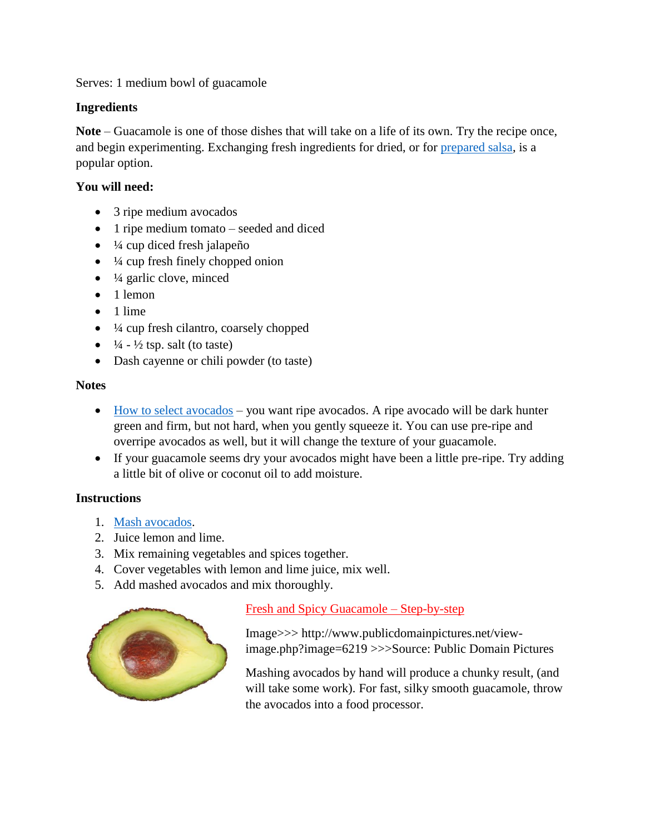Serves: 1 medium bowl of guacamole

### **Ingredients**

**Note** – Guacamole is one of those dishes that will take on a life of its own. Try the recipe once, and begin experimenting. Exchanging fresh ingredients for dried, or for [prepared salsa,](http://mexicanfood.about.com/od/techniques/ss/salsastepbystep.htm) is a popular option.

### **You will need:**

- 3 ripe medium avocados
- 1 ripe medium tomato seeded and diced
- $\bullet$   $\frac{1}{4}$  cup diced fresh jalapeño
- $\bullet$   $\frac{1}{4}$  cup fresh finely chopped onion
- $\bullet$   $\frac{1}{4}$  garlic clove, minced
- $\bullet$  1 lemon
- $\bullet$  1 lime
- $\bullet$   $\frac{1}{4}$  cup fresh cilantro, coarsely chopped
- $\bullet$   $\frac{1}{4}$   $\frac{1}{2}$  tsp. salt (to taste)
- Dash cayenne or chili powder (to taste)

#### **Notes**

- [How to select avocados](http://healthylivinghowto.com/how-to-pick-the-perfect-avocado/) you want ripe avocados. A ripe avocado will be dark hunter green and firm, but not hard, when you gently squeeze it. You can use pre-ripe and overripe avocados as well, but it will change the texture of your guacamole.
- If your guacamole seems dry your avocados might have been a little pre-ripe. Try adding a little bit of olive or coconut oil to add moisture.

#### **Instructions**

- 1. [Mash avocados.](https://www.youtube.com/watch?v=oIRcTS_N5Qg)
- 2. Juice lemon and lime.
- 3. Mix remaining vegetables and spices together.
- 4. Cover vegetables with lemon and lime juice, mix well.
- 5. Add mashed avocados and mix thoroughly.



## Fresh and Spicy Guacamole – Step-by-step

Image>>> http://www.publicdomainpictures.net/viewimage.php?image=6219 >>>Source: Public Domain Pictures

Mashing avocados by hand will produce a chunky result, (and will take some work). For fast, silky smooth guacamole, throw the avocados into a food processor.